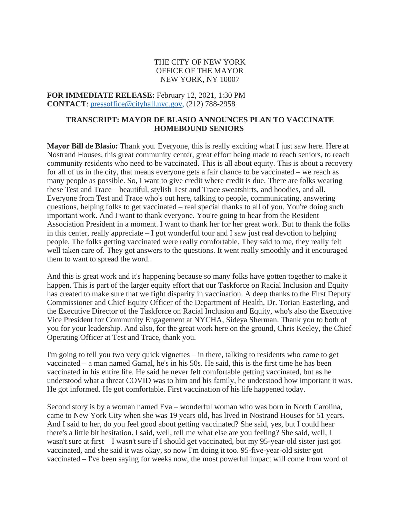## THE CITY OF NEW YORK OFFICE OF THE MAYOR NEW YORK, NY 10007

**FOR IMMEDIATE RELEASE:** February 12, 2021, 1:30 PM **CONTACT**: [pressoffice@cityhall.nyc.gov,](mailto:pressoffice@cityhall.nyc.gov) (212) 788-2958

## **TRANSCRIPT: MAYOR DE BLASIO ANNOUNCES PLAN TO VACCINATE HOMEBOUND SENIORS**

**Mayor Bill de Blasio:** Thank you. Everyone, this is really exciting what I just saw here. Here at Nostrand Houses, this great community center, great effort being made to reach seniors, to reach community residents who need to be vaccinated. This is all about equity. This is about a recovery for all of us in the city, that means everyone gets a fair chance to be vaccinated – we reach as many people as possible. So, I want to give credit where credit is due. There are folks wearing these Test and Trace – beautiful, stylish Test and Trace sweatshirts, and hoodies, and all. Everyone from Test and Trace who's out here, talking to people, communicating, answering questions, helping folks to get vaccinated – real special thanks to all of you. You're doing such important work. And I want to thank everyone. You're going to hear from the Resident Association President in a moment. I want to thank her for her great work. But to thank the folks in this center, really appreciate – I got wonderful tour and I saw just real devotion to helping people. The folks getting vaccinated were really comfortable. They said to me, they really felt well taken care of. They got answers to the questions. It went really smoothly and it encouraged them to want to spread the word.

And this is great work and it's happening because so many folks have gotten together to make it happen. This is part of the larger equity effort that our Taskforce on Racial Inclusion and Equity has created to make sure that we fight disparity in vaccination. A deep thanks to the First Deputy Commissioner and Chief Equity Officer of the Department of Health, Dr. Torian Easterling, and the Executive Director of the Taskforce on Racial Inclusion and Equity, who's also the Executive Vice President for Community Engagement at NYCHA, Sideya Sherman. Thank you to both of you for your leadership. And also, for the great work here on the ground, Chris Keeley, the Chief Operating Officer at Test and Trace, thank you.

I'm going to tell you two very quick vignettes – in there, talking to residents who came to get vaccinated – a man named Gamal, he's in his 50s. He said, this is the first time he has been vaccinated in his entire life. He said he never felt comfortable getting vaccinated, but as he understood what a threat COVID was to him and his family, he understood how important it was. He got informed. He got comfortable. First vaccination of his life happened today.

Second story is by a woman named Eva – wonderful woman who was born in North Carolina, came to New York City when she was 19 years old, has lived in Nostrand Houses for 51 years. And I said to her, do you feel good about getting vaccinated? She said, yes, but I could hear there's a little bit hesitation. I said, well, tell me what else are you feeling? She said, well, I wasn't sure at first – I wasn't sure if I should get vaccinated, but my 95-year-old sister just got vaccinated, and she said it was okay, so now I'm doing it too. 95-five-year-old sister got vaccinated – I've been saying for weeks now, the most powerful impact will come from word of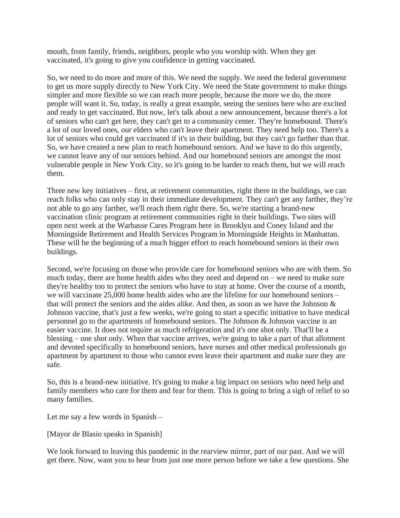mouth, from family, friends, neighbors, people who you worship with. When they get vaccinated, it's going to give you confidence in getting vaccinated.

So, we need to do more and more of this. We need the supply. We need the federal government to get us more supply directly to New York City. We need the State government to make things simpler and more flexible so we can reach more people, because the more we do, the more people will want it. So, today, is really a great example, seeing the seniors here who are excited and ready to get vaccinated. But now, let's talk about a new announcement, because there's a lot of seniors who can't get here, they can't get to a community center. They're homebound. There's a lot of our loved ones, our elders who can't leave their apartment. They need help too. There's a lot of seniors who could get vaccinated if it's in their building, but they can't go farther than that. So, we have created a new plan to reach homebound seniors. And we have to do this urgently, we cannot leave any of our seniors behind. And our homebound seniors are amongst the most vulnerable people in New York City, so it's going to be harder to reach them, but we will reach them.

Three new key initiatives – first, at retirement communities, right there in the buildings, we can reach folks who can only stay in their immediate development. They can't get any farther, they're not able to go any farther, we'll reach them right there. So, we're starting a brand-new vaccination clinic program at retirement communities right in their buildings. Two sites will open next week at the Warbasse Cares Program here in Brooklyn and Coney Island and the Morningside Retirement and Health Services Program in Morningside Heights in Manhattan. These will be the beginning of a much bigger effort to reach homebound seniors in their own buildings.

Second, we're focusing on those who provide care for homebound seniors who are with them. So much today, there are home health aides who they need and depend on – we need to make sure they're healthy too to protect the seniors who have to stay at home. Over the course of a month, we will vaccinate 25,000 home health aides who are the lifeline for our homebound seniors – that will protect the seniors and the aides alike. And then, as soon as we have the Johnson  $\&$ Johnson vaccine, that's just a few weeks, we're going to start a specific initiative to have medical personnel go to the apartments of homebound seniors. The Johnson & Johnson vaccine is an easier vaccine. It does not require as much refrigeration and it's one shot only. That'll be a blessing – one shot only. When that vaccine arrives, we're going to take a part of that allotment and devoted specifically to homebound seniors, have nurses and other medical professionals go apartment by apartment to those who cannot even leave their apartment and make sure they are safe.

So, this is a brand-new initiative. It's going to make a big impact on seniors who need help and family members who care for them and fear for them. This is going to bring a sigh of relief to so many families.

Let me say a few words in Spanish –

[Mayor de Blasio speaks in Spanish]

We look forward to leaving this pandemic in the rearview mirror, part of our past. And we will get there. Now, want you to hear from just one more person before we take a few questions. She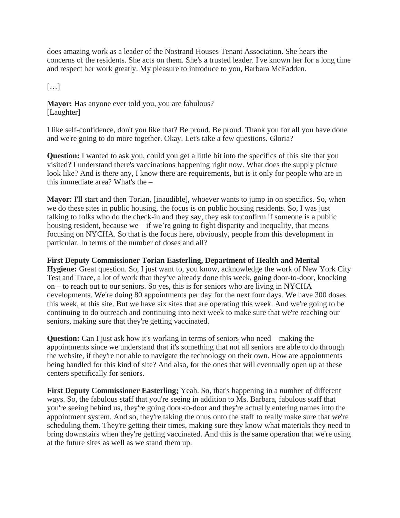does amazing work as a leader of the Nostrand Houses Tenant Association. She hears the concerns of the residents. She acts on them. She's a trusted leader. I've known her for a long time and respect her work greatly. My pleasure to introduce to you, Barbara McFadden.

 $\lceil$ ...]

**Mayor:** Has anyone ever told you, you are fabulous? [Laughter]

I like self-confidence, don't you like that? Be proud. Be proud. Thank you for all you have done and we're going to do more together. Okay. Let's take a few questions. Gloria?

**Question:** I wanted to ask you, could you get a little bit into the specifics of this site that you visited? I understand there's vaccinations happening right now. What does the supply picture look like? And is there any, I know there are requirements, but is it only for people who are in this immediate area? What's the –

**Mayor:** I'll start and then Torian, [inaudible], whoever wants to jump in on specifics. So, when we do these sites in public housing, the focus is on public housing residents. So, I was just talking to folks who do the check-in and they say, they ask to confirm if someone is a public housing resident, because we – if we're going to fight disparity and inequality, that means focusing on NYCHA. So that is the focus here, obviously, people from this development in particular. In terms of the number of doses and all?

## **First Deputy Commissioner Torian Easterling, Department of Health and Mental**

**Hygiene:** Great question. So, I just want to, you know, acknowledge the work of New York City Test and Trace, a lot of work that they've already done this week, going door-to-door, knocking on – to reach out to our seniors. So yes, this is for seniors who are living in NYCHA developments. We're doing 80 appointments per day for the next four days. We have 300 doses this week, at this site. But we have six sites that are operating this week. And we're going to be continuing to do outreach and continuing into next week to make sure that we're reaching our seniors, making sure that they're getting vaccinated.

**Question:** Can I just ask how it's working in terms of seniors who need – making the appointments since we understand that it's something that not all seniors are able to do through the website, if they're not able to navigate the technology on their own. How are appointments being handled for this kind of site? And also, for the ones that will eventually open up at these centers specifically for seniors.

**First Deputy Commissioner Easterling;** Yeah. So, that's happening in a number of different ways. So, the fabulous staff that you're seeing in addition to Ms. Barbara, fabulous staff that you're seeing behind us, they're going door-to-door and they're actually entering names into the appointment system. And so, they're taking the onus onto the staff to really make sure that we're scheduling them. They're getting their times, making sure they know what materials they need to bring downstairs when they're getting vaccinated. And this is the same operation that we're using at the future sites as well as we stand them up.